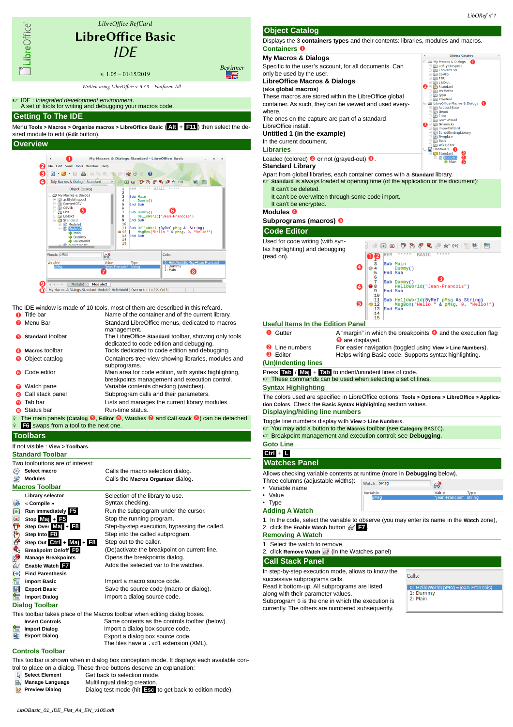

Type